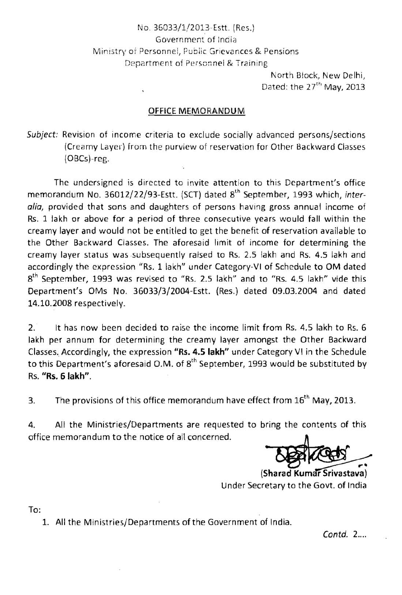## No. 36033/1/2013-Estt. (Ees.) Government of India Ministry of Personnel, Public Grievances & Pensions Department of Personnel & Training

North Block, New Delhi, Dated: the 27<sup>th</sup> May, 2013

## **OFFICE MEMORANDUM**

Subject: Revision of income criteria to exclude socially advanced persons/sections (Creamy Layer) irom the purview of reservation for Other Backward Classes  $(OBCs)$ -reg.

The undersigned is directed to invite attention to this Department's office memorandum No. 36012/22/93-Estt. (SCT) dated 8<sup>th</sup> September, 1993 which, interalia, provided that sons and daughters of persons having gross annual income of Rs. 1 lakh or above for a period of three consecutive years would fall within the creamy layer and would not be entitled to get the benefit of reservation available to the Other Backward Classes. The aforesaid limit of income for determining the creamy layer status was subsequently raised to Rs. 2.5 lakh and Rs. 4.5 lakh and accordingly the expression "Rs. 1 lakh" under Category-VI of Schedule to OM dated  $8<sup>th</sup>$  September, 1993 was revised to "Rs. 2.5 lakh" and to "Rs. 4.5 lakh" vide this Department's OMS No. 36033/3/2004-Estt. (Res.) dated 09.03.2004 and dated 14.10.2008 respectively.

2. It has now been decided to raise the income limit from Rs. 4.5 lakh to Rs. 6 lakh per annum for determining the creamy layer amongst the Other Backward Classes. Accordingly, the expression "Rs. 4.5 lakh" under Category VI in the Schedule to this Department's aforesaid O.M. of  $8<sup>th</sup>$  September, 1993 would be substituted by Rs. **"Rs. 6 lakh".** 

3. The provisions of this office memorandum have effect from  $16<sup>th</sup>$  May, 2013.

4. All the Ministries/Departments are requested to bring the contents of this office memorandum to the notice of all concerned.

(Sharad Kumar Srivastava) Under Secretarv to the Govt. of India

To:

1. All the Ministries/Departments of the Government of India.

Contd. 2....